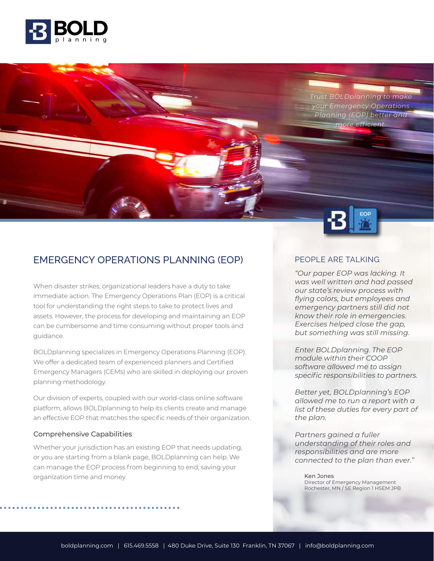

*Trust BOLDplanning to make your Emergency Operations Planning (EOP) better and more efficient.*



## EMERGENCY OPERATIONS PLANNING (EOP)

When disaster strikes, organizational leaders have a duty to take immediate action. The Emergency Operations Plan (EOP) is a critical tool for understanding the right steps to take to protect lives and assets. However, the process for developing and maintaining an EOP can be cumbersome and time consuming without proper tools and guidance.

BOLDplanning specializes in Emergency Operations Planning (EOP). We offer a dedicated team of experienced planners and Certified Emergency Managers (CEMs) who are skilled in deploying our proven planning methodology.

Our division of experts, coupled with our world-class online software platform, allows BOLDplanning to help its clients create and manage an effective EOP that matches the specific needs of their organization.

#### Comprehensive Capabilities

Whether your jurisdiction has an existing EOP that needs updating, or you are starting from a blank page, BOLDplanning can help. We can manage the EOP process from beginning to end, saving your organization time and money.

#### PEOPLE ARE TALKING

*"Our paper EOP was lacking. It was well written and had passed our state's review process with flying colors, but employees and emergency partners still did not know their role in emergencies. Exercises helped close the gap, but something was still missing.* 

*Enter BOLDplanning. The EOP module within their COOP software allowed me to assign specific responsibilities to partners.* 

*Better yet, BOLDplanning's EOP allowed me to run a report with a list of these duties for every part of the plan.* 

*Partners gained a fuller understanding of their roles and responsibilities and are more connected to the plan than ever."*

Ken Jones Director of Emergency Management Rochester, MN / SE Region 1 HSEM JPB